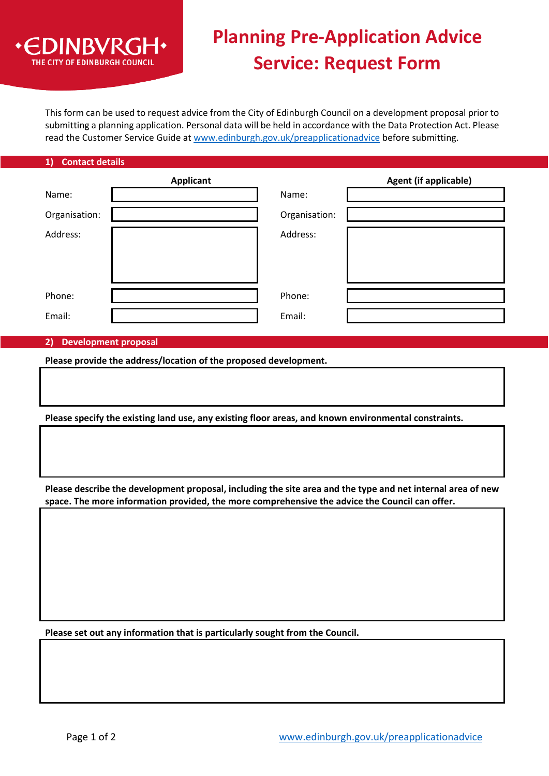

# **Planning Pre-Application Advice Service: Request Form**

This form can be used to request advice from the City of Edinburgh Council on a development proposal prior to submitting a planning application. Personal data will be held in accordance with the Data Protection Act. Please read the Customer Service Guide at [www.edinburgh.gov.uk/preapplicationadvice](http://www.edinburgh.gov.uk/preapplicationadvice) before submitting.

### **1) Contact details**

|               | <b>Applicant</b> |               | <b>Agent (if applicable)</b> |
|---------------|------------------|---------------|------------------------------|
| Name:         |                  | Name:         |                              |
| Organisation: |                  | Organisation: |                              |
| Address:      |                  | Address:      |                              |
| Phone:        |                  | Phone:        |                              |
| Email:        |                  | Email:        |                              |

### **2) Development proposal**

**Please provide the address/location of the proposed development.**

**Please specify the existing land use, any existing floor areas, and known environmental constraints.**

**Please describe the development proposal, including the site area and the type and net internal area of new space. The more information provided, the more comprehensive the advice the Council can offer.** 

**Please set out any information that is particularly sought from the Council.**